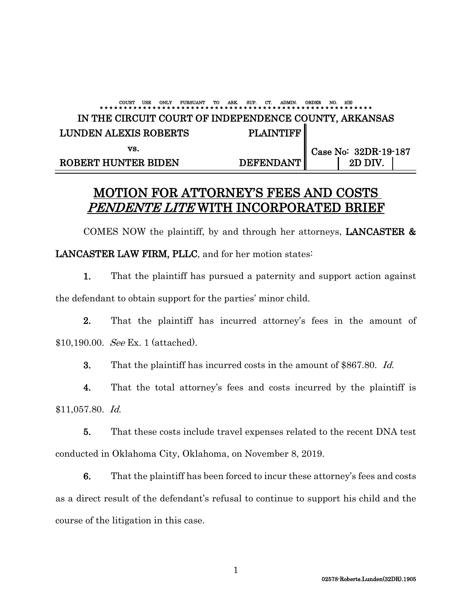### COURT USE ONLY PURSUANT TO ARK. SUP. CT. ADMIN. ORDER NO. 2(B) \* \* \* \* \* \* \* \* \* \* \* \* \* \* \* \* \* \* \* \* \* \* \* \* \* \* \* \* \* \* \* \* \* \* \* \* \* \* \* \* \* \* \* \* \* \* \* \* \* \* \* \* \* \* \* \* \* IN THE CIRCUIT COURT OF INDEPENDENCE COUNTY, ARKANSAS LUNDEN ALEXIS ROBERTS PLAINTIFF vs. Case No: 32DR-19-187 ROBERT HUNTER BIDEN DEFENDANT | 2D DIV.

### MOTION FOR ATTORNEY'S FEES AND COSTS PENDENTE LITE WITH INCORPORATED BRIEF

COMES NOW the plaintiff, by and through her attorneys, LANCASTER & LANCASTER LAW FIRM, PLLC, and for her motion states:

1. That the plaintiff has pursued a paternity and support action against the defendant to obtain support for the parties' minor child.

2. That the plaintiff has incurred attorney's fees in the amount of \$10,190.00. See Ex. 1 (attached).

3. That the plaintiff has incurred costs in the amount of \$867.80. Id.

4. That the total attorney's fees and costs incurred by the plaintiff is \$11,057.80. Id.

5. That these costs include travel expenses related to the recent DNA test conducted in Oklahoma City, Oklahoma, on November 8, 2019.

6. That the plaintiff has been forced to incur these attorney's fees and costs as a direct result of the defendant's refusal to continue to support his child and the course of the litigation in this case.

1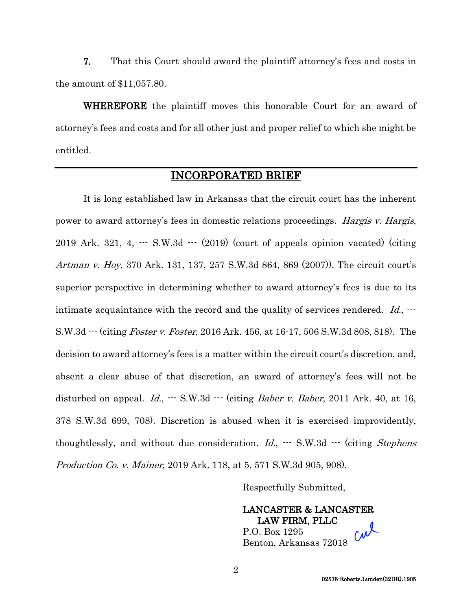7. That this Court should award the plaintiff attorney's fees and costs in the amount of \$11,057.80.

WHEREFORE the plaintiff moves this honorable Court for an award of attorney's fees and costs and for all other just and proper relief to which she might be entitled.

### INCORPORATED BRIEF

It is long established law in Arkansas that the circuit court has the inherent power to award attorney's fees in domestic relations proceedings. Hargis v. Hargis, 2019 Ark. 321, 4, --- S.W.3d --- (2019) (court of appeals opinion vacated) (citing Artman v. Hoy, 370 Ark. 131, 137, 257 S.W.3d 864, 869 (2007)). The circuit court's superior perspective in determining whether to award attorney's fees is due to its intimate acquaintance with the record and the quality of services rendered. Id.,  $\cdots$ S.W.3d  $\cdots$  (citing *Foster v. Foster*, 2016 Ark. 456, at 16-17, 506 S.W.3d 808, 818). The decision to award attorney's fees is a matter within the circuit court's discretion, and, absent a clear abuse of that discretion, an award of attorney's fees will not be disturbed on appeal.  $Id.$ ,  $\cdots$  S.W.3d  $\cdots$  (citing *Baber v. Baber*, 2011 Ark. 40, at 16, 378 S.W.3d 699, 708). Discretion is abused when it is exercised improvidently, thoughtlessly, and without due consideration.  $Id$ .,  $\cdots$  S.W.3d  $\cdots$  (citing Stephens Production Co. v. Mainer, 2019 Ark. 118, at 5, 571 S.W.3d 905, 908).

Respectfully Submitted,

LANCASTER & LANCASTER LAW FIRM, PLLC P.O. Box 1295 Benton, Arkansas 72018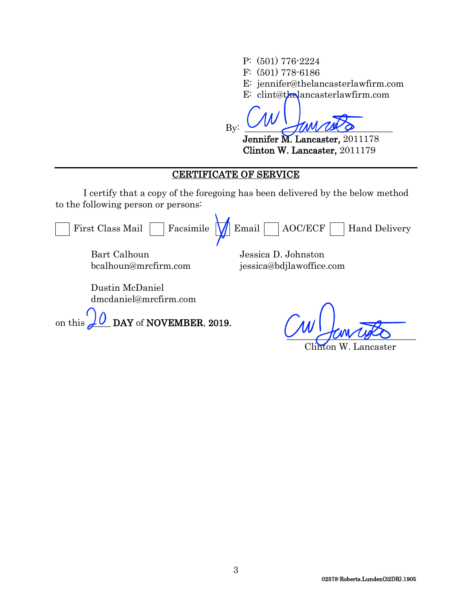P: (501) 776-2224 F: (501) 778-6186 E: jennifer@thelancasterlawfirm.com E: clint@thelancasterlawfirm.com By: \_\_\_\_\_\_\_\_\_\_\_\_\_\_\_\_\_\_\_\_\_\_\_\_\_\_\_\_\_\_\_\_

Jennifer M. Lancaster, 2011178 Clinton W. Lancaster, 2011179

### CERTIFICATE OF SERVICE

I certify that a copy of the foregoing has been delivered by the below method to the following person or persons:

First Class Mail  $\Box$  Facsimile  $\Box$  Email  $\Box$  AOC/ECF  $\Box$  Hand Delivery Bart Calhoun Jessica D. Johnston

bcalhoun@mrcfirm.com

jessica@bdjlawoffice.com

Dustin McDaniel dmcdaniel@mrcfirm.com

on this  $\angle U$  DAY of NOVEMBER, 2019.

 $\frac{1}{2}$  and  $\frac{1}{2}$ 

Clinton W. Lancaster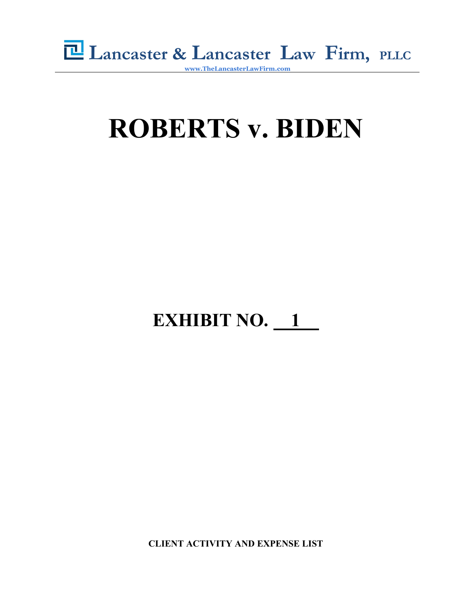

# **ROBERTS v. BIDEN**

## **EXHIBIT NO.** 1

**CLIENT ACTIVITY AND EXPENSE LIST**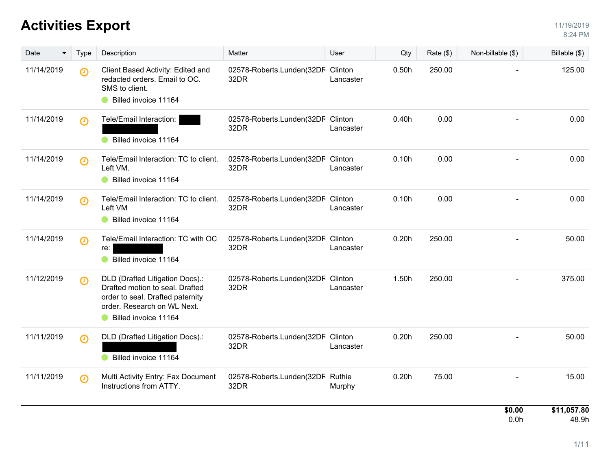| Date<br>▼  | Type                  | Description                                                                                                                                                   | Matter                                    | User      | Qty   | Rate $(\$)$ | Non-billable (\$)          | Billable (\$)        |
|------------|-----------------------|---------------------------------------------------------------------------------------------------------------------------------------------------------------|-------------------------------------------|-----------|-------|-------------|----------------------------|----------------------|
| 11/14/2019 | $\Theta$              | Client Based Activity: Edited and<br>redacted orders. Email to OC.<br>SMS to client.<br>Billed invoice 11164                                                  | 02578-Roberts.Lunden(32DF Clinton<br>32DR | Lancaster | 0.50h | 250.00      |                            | 125.00               |
| 11/14/2019 | $\boldsymbol{\Theta}$ | Tele/Email Interaction:<br>Billed invoice 11164                                                                                                               | 02578-Roberts.Lunden(32DF Clinton<br>32DR | Lancaster | 0.40h | 0.00        |                            | 0.00                 |
| 11/14/2019 | $\boldsymbol{\Theta}$ | Tele/Email Interaction: TC to client.<br>Left VM.<br>Billed invoice 11164                                                                                     | 02578-Roberts.Lunden(32DF Clinton<br>32DR | Lancaster | 0.10h | 0.00        |                            | 0.00                 |
| 11/14/2019 | $\odot$               | Tele/Email Interaction: TC to client.<br>Left VM<br>Billed invoice 11164                                                                                      | 02578-Roberts.Lunden(32DF Clinton<br>32DR | Lancaster | 0.10h | 0.00        |                            | 0.00                 |
| 11/14/2019 | $\boldsymbol{\Theta}$ | Tele/Email Interaction: TC with OC<br>re:<br>Billed invoice 11164                                                                                             | 02578-Roberts.Lunden(32DF Clinton<br>32DR | Lancaster | 0.20h | 250.00      |                            | 50.00                |
| 11/12/2019 | $\boldsymbol{\Theta}$ | DLD (Drafted Litigation Docs).:<br>Drafted motion to seal. Drafted<br>order to seal. Drafted paternity<br>order. Research on WL Next.<br>Billed invoice 11164 | 02578-Roberts.Lunden(32DF Clinton<br>32DR | Lancaster | 1.50h | 250.00      |                            | 375.00               |
| 11/11/2019 | $\odot$               | DLD (Drafted Litigation Docs).:<br>Billed invoice 11164                                                                                                       | 02578-Roberts.Lunden(32DF Clinton<br>32DR | Lancaster | 0.20h | 250.00      |                            | 50.00                |
| 11/11/2019 | $\boldsymbol{\Theta}$ | Multi Activity Entry: Fax Document<br>Instructions from ATTY.                                                                                                 | 02578-Roberts.Lunden(32DF Ruthie<br>32DR  | Murphy    | 0.20h | 75.00       |                            | 15.00                |
|            |                       |                                                                                                                                                               |                                           |           |       |             | \$0.00<br>0.0 <sub>h</sub> | \$11,057.80<br>48.9h |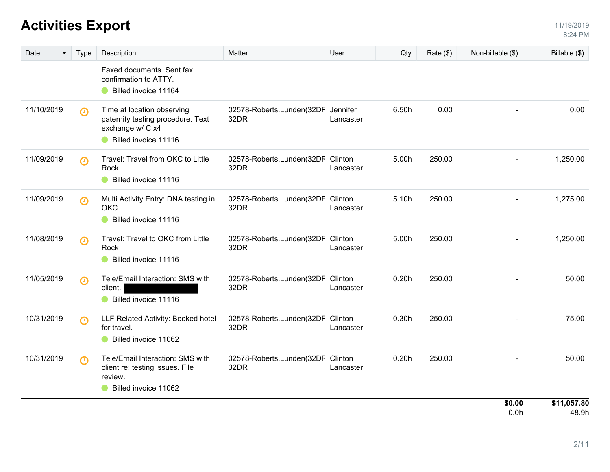| Date<br>▼  | <b>Type</b>           | Description                                                                                                 | Matter                                     | User      | Qty   | Rate (\$) | Non-billable (\$)        | Billable (\$)        |
|------------|-----------------------|-------------------------------------------------------------------------------------------------------------|--------------------------------------------|-----------|-------|-----------|--------------------------|----------------------|
|            |                       | Faxed documents. Sent fax<br>confirmation to ATTY.<br>Billed invoice 11164                                  |                                            |           |       |           |                          |                      |
| 11/10/2019 | $\odot$               | Time at location observing<br>paternity testing procedure. Text<br>exchange w/ C x4<br>Billed invoice 11116 | 02578-Roberts.Lunden(32DF Jennifer<br>32DR | Lancaster | 6.50h | 0.00      |                          | 0.00                 |
| 11/09/2019 | ∩                     | Travel: Travel from OKC to Little<br>Rock<br>Billed invoice 11116                                           | 02578-Roberts.Lunden(32DF Clinton<br>32DR  | Lancaster | 5.00h | 250.00    | $\overline{\phantom{0}}$ | 1,250.00             |
| 11/09/2019 | $\odot$               | Multi Activity Entry: DNA testing in<br>OKC.<br>Billed invoice 11116                                        | 02578-Roberts.Lunden(32DF Clinton<br>32DR  | Lancaster | 5.10h | 250.00    |                          | 1,275.00             |
| 11/08/2019 | $\boldsymbol{\Theta}$ | Travel: Travel to OKC from Little<br>Rock<br>Billed invoice 11116                                           | 02578-Roberts.Lunden(32DF Clinton<br>32DR  | Lancaster | 5.00h | 250.00    | ٠                        | 1,250.00             |
| 11/05/2019 | Θ                     | Tele/Email Interaction: SMS with<br>client.<br>Billed invoice 11116                                         | 02578-Roberts.Lunden(32DF Clinton<br>32DR  | Lancaster | 0.20h | 250.00    |                          | 50.00                |
| 10/31/2019 | $\boldsymbol{\Theta}$ | LLF Related Activity: Booked hotel<br>for travel.<br>Billed invoice 11062                                   | 02578-Roberts.Lunden(32DF Clinton<br>32DR  | Lancaster | 0.30h | 250.00    |                          | 75.00                |
| 10/31/2019 | $\Theta$              | Tele/Email Interaction: SMS with<br>client re: testing issues. File<br>review.<br>Billed invoice 11062      | 02578-Roberts.Lunden(32DF Clinton<br>32DR  | Lancaster | 0.20h | 250.00    |                          | 50.00                |
|            |                       |                                                                                                             |                                            |           |       |           | \$0.00<br>0.0h           | \$11,057.80<br>48.9h |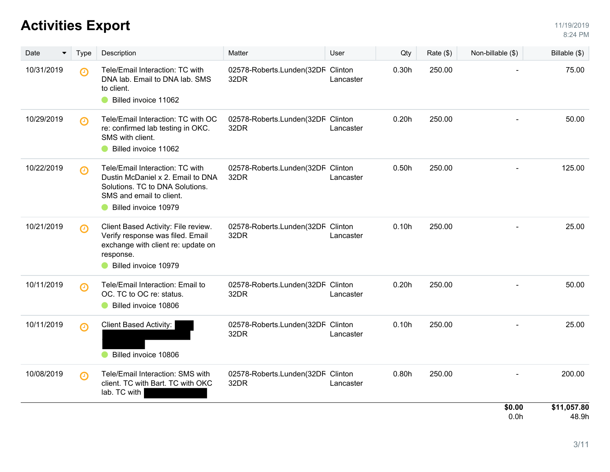| Date       | <b>Type</b>           | Description                                                                                                                                                 | Matter                                    | User      | Qty   | Rate (\$) | Non-billable (\$) | Billable $(\$)$      |
|------------|-----------------------|-------------------------------------------------------------------------------------------------------------------------------------------------------------|-------------------------------------------|-----------|-------|-----------|-------------------|----------------------|
| 10/31/2019 | $\Theta$              | Tele/Email Interaction: TC with<br>DNA lab. Email to DNA lab. SMS<br>to client.<br>Billed invoice 11062                                                     | 02578-Roberts.Lunden(32DF Clinton<br>32DR | Lancaster | 0.30h | 250.00    |                   | 75.00                |
| 10/29/2019 | $\boldsymbol{\Theta}$ | Tele/Email Interaction: TC with OC<br>re: confirmed lab testing in OKC.<br>SMS with client.<br>Billed invoice 11062                                         | 02578-Roberts.Lunden(32DF Clinton<br>32DR | Lancaster | 0.20h | 250.00    |                   | 50.00                |
| 10/22/2019 | $\boldsymbol{\Theta}$ | Tele/Email Interaction: TC with<br>Dustin McDaniel x 2. Email to DNA<br>Solutions. TC to DNA Solutions.<br>SMS and email to client.<br>Billed invoice 10979 | 02578-Roberts.Lunden(32DF Clinton<br>32DR | Lancaster | 0.50h | 250.00    |                   | 125.00               |
| 10/21/2019 | $\boldsymbol{\Theta}$ | Client Based Activity: File review.<br>Verify response was filed. Email<br>exchange with client re: update on<br>response.<br>Billed invoice 10979          | 02578-Roberts.Lunden(32DF Clinton<br>32DR | Lancaster | 0.10h | 250.00    |                   | 25.00                |
| 10/11/2019 | ⊕                     | Tele/Email Interaction: Email to<br>OC. TC to OC re: status.<br>Billed invoice 10806                                                                        | 02578-Roberts.Lunden(32DF Clinton<br>32DR | Lancaster | 0.20h | 250.00    |                   | 50.00                |
| 10/11/2019 | $\odot$               | Client Based Activity:<br>Billed invoice 10806                                                                                                              | 02578-Roberts.Lunden(32DF Clinton<br>32DR | Lancaster | 0.10h | 250.00    |                   | 25.00                |
| 10/08/2019 | $\boldsymbol{\Theta}$ | Tele/Email Interaction: SMS with<br>client. TC with Bart. TC with OKC<br>lab. TC with                                                                       | 02578-Roberts.Lunden(32DF Clinton<br>32DR | Lancaster | 0.80h | 250.00    |                   | 200.00               |
|            |                       |                                                                                                                                                             |                                           |           |       |           | \$0.00<br>0.0h    | \$11,057.80<br>48.9h |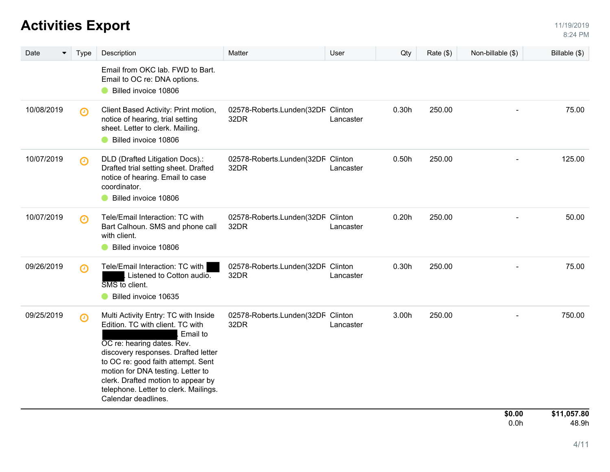| Date       | <b>Type</b> | Description                                                                                                                                                                                                                                                                                                                                | Matter                                    | User      | Qty   | Rate (\$) | Non-billable (\$) | Billable (\$) |
|------------|-------------|--------------------------------------------------------------------------------------------------------------------------------------------------------------------------------------------------------------------------------------------------------------------------------------------------------------------------------------------|-------------------------------------------|-----------|-------|-----------|-------------------|---------------|
|            |             | Email from OKC lab. FWD to Bart.<br>Email to OC re: DNA options.<br>Billed invoice 10806                                                                                                                                                                                                                                                   |                                           |           |       |           |                   |               |
| 10/08/2019 | $\odot$     | Client Based Activity: Print motion,<br>notice of hearing, trial setting<br>sheet. Letter to clerk. Mailing.<br>Billed invoice 10806                                                                                                                                                                                                       | 02578-Roberts.Lunden(32DF Clinton<br>32DR | Lancaster | 0.30h | 250.00    |                   | 75.00         |
| 10/07/2019 | $\odot$     | DLD (Drafted Litigation Docs).:<br>Drafted trial setting sheet. Drafted<br>notice of hearing. Email to case<br>coordinator.<br>Billed invoice 10806                                                                                                                                                                                        | 02578-Roberts.Lunden(32DF Clinton<br>32DR | Lancaster | 0.50h | 250.00    |                   | 125.00        |
| 10/07/2019 | $\odot$     | Tele/Email Interaction: TC with<br>Bart Calhoun. SMS and phone call<br>with client.<br>Billed invoice 10806                                                                                                                                                                                                                                | 02578-Roberts.Lunden(32DF Clinton<br>32DR | Lancaster | 0.20h | 250.00    |                   | 50.00         |
| 09/26/2019 | $\odot$     | Tele/Email Interaction: TC with<br>Listened to Cotton audio.<br>SMS to client.<br>Billed invoice 10635                                                                                                                                                                                                                                     | 02578-Roberts.Lunden(32DF Clinton<br>32DR | Lancaster | 0.30h | 250.00    |                   | 75.00         |
| 09/25/2019 | $\odot$     | Multi Activity Entry: TC with Inside<br>Edition. TC with client. TC with<br>Email to<br>OC re: hearing dates. Rev.<br>discovery responses. Drafted letter<br>to OC re: good faith attempt. Sent<br>motion for DNA testing. Letter to<br>clerk. Drafted motion to appear by<br>telephone. Letter to clerk. Mailings.<br>Calendar deadlines. | 02578-Roberts.Lunden(32DF Clinton<br>32DR | Lancaster | 3.00h | 250.00    |                   | 750.00        |
|            |             |                                                                                                                                                                                                                                                                                                                                            |                                           |           |       |           | \$0.00            | \$11,057.80   |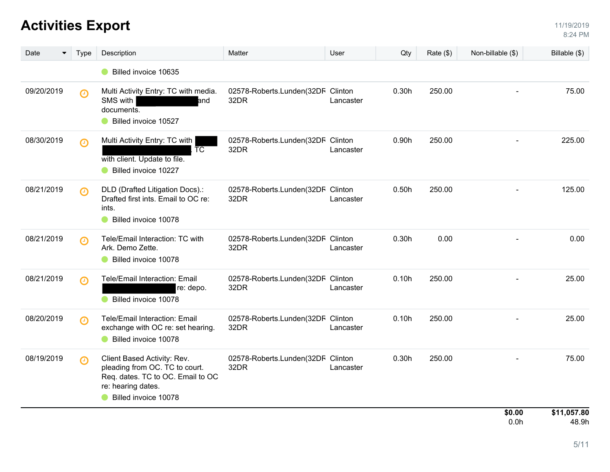| Date<br>▼  | <b>Type</b>           | Description                                                                                                                                      | Matter                                    | User      | Qty   | Rate $(\$)$ | Non-billable (\$) | Billable $(\$)$      |
|------------|-----------------------|--------------------------------------------------------------------------------------------------------------------------------------------------|-------------------------------------------|-----------|-------|-------------|-------------------|----------------------|
|            |                       | Billed invoice 10635                                                                                                                             |                                           |           |       |             |                   |                      |
| 09/20/2019 | $\odot$               | Multi Activity Entry: TC with media.<br>SMS with<br>and<br>documents.<br>Billed invoice 10527                                                    | 02578-Roberts.Lunden(32DF Clinton<br>32DR | Lancaster | 0.30h | 250.00      |                   | 75.00                |
| 08/30/2019 | $\odot$               | Multi Activity Entry: TC with<br>TC<br>with client. Update to file.<br>Billed invoice 10227                                                      | 02578-Roberts.Lunden(32DF Clinton<br>32DR | Lancaster | 0.90h | 250.00      |                   | 225.00               |
| 08/21/2019 | $\boldsymbol{\Theta}$ | DLD (Drafted Litigation Docs).:<br>Drafted first ints. Email to OC re:<br>ints.<br>Billed invoice 10078                                          | 02578-Roberts.Lunden(32DF Clinton<br>32DR | Lancaster | 0.50h | 250.00      |                   | 125.00               |
| 08/21/2019 | $\odot$               | Tele/Email Interaction: TC with<br>Ark. Demo Zette.<br>Billed invoice 10078                                                                      | 02578-Roberts.Lunden(32DF Clinton<br>32DR | Lancaster | 0.30h | 0.00        |                   | 0.00                 |
| 08/21/2019 | $\odot$               | Tele/Email Interaction: Email<br>re: depo.<br>Billed invoice 10078                                                                               | 02578-Roberts.Lunden(32DF Clinton<br>32DR | Lancaster | 0.10h | 250.00      |                   | 25.00                |
| 08/20/2019 | $\odot$               | <b>Tele/Email Interaction: Email</b><br>exchange with OC re: set hearing.<br>Billed invoice 10078                                                | 02578-Roberts.Lunden(32DF Clinton<br>32DR | Lancaster | 0.10h | 250.00      |                   | 25.00                |
| 08/19/2019 | $\odot$               | Client Based Activity: Rev.<br>pleading from OC. TC to court.<br>Req. dates. TC to OC. Email to OC<br>re: hearing dates.<br>Billed invoice 10078 | 02578-Roberts.Lunden(32DF Clinton<br>32DR | Lancaster | 0.30h | 250.00      |                   | 75.00                |
|            |                       |                                                                                                                                                  |                                           |           |       |             | \$0.00<br>0.0h    | \$11,057.80<br>48.9h |

 $\mathbf{1}$  , and the set of the set of the set of the set of the set of the set of the set of the set of the set of the set of the set of the set of the set of the set of the set of the set of the set of the set of the set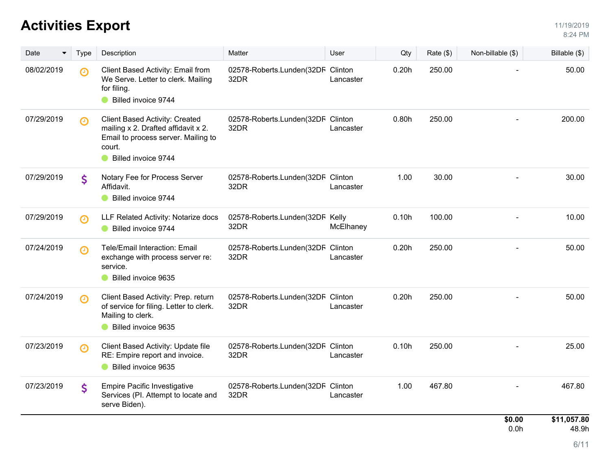| Date       | <b>Type</b>           | Description                                                                                                                                   | Matter                                    | User      | Qty   | Rate (\$) | Non-billable (\$) | Billable (\$)        |
|------------|-----------------------|-----------------------------------------------------------------------------------------------------------------------------------------------|-------------------------------------------|-----------|-------|-----------|-------------------|----------------------|
| 08/02/2019 | $\boldsymbol{\Theta}$ | Client Based Activity: Email from<br>We Serve. Letter to clerk. Mailing<br>for filing.<br>Billed invoice 9744                                 | 02578-Roberts.Lunden(32DF Clinton<br>32DR | Lancaster | 0.20h | 250.00    |                   | 50.00                |
| 07/29/2019 | ∩                     | Client Based Activity: Created<br>mailing x 2. Drafted affidavit x 2.<br>Email to process server. Mailing to<br>court.<br>Billed invoice 9744 | 02578-Roberts.Lunden(32DF Clinton<br>32DR | Lancaster | 0.80h | 250.00    |                   | 200.00               |
| 07/29/2019 | \$                    | Notary Fee for Process Server<br>Affidavit.<br>Billed invoice 9744                                                                            | 02578-Roberts.Lunden(32DF Clinton<br>32DR | Lancaster | 1.00  | 30.00     |                   | 30.00                |
| 07/29/2019 | $\odot$               | LLF Related Activity: Notarize docs<br>Billed invoice 9744                                                                                    | 02578-Roberts.Lunden(32DF Kelly<br>32DR   | McElhaney | 0.10h | 100.00    |                   | 10.00                |
| 07/24/2019 | $\boldsymbol{\Theta}$ | Tele/Email Interaction: Email<br>exchange with process server re:<br>service.<br>Billed invoice 9635                                          | 02578-Roberts.Lunden(32DF Clinton<br>32DR | Lancaster | 0.20h | 250.00    |                   | 50.00                |
| 07/24/2019 | ∩                     | Client Based Activity: Prep. return<br>of service for filing. Letter to clerk.<br>Mailing to clerk.<br>Billed invoice 9635                    | 02578-Roberts.Lunden(32DF Clinton<br>32DR | Lancaster | 0.20h | 250.00    |                   | 50.00                |
| 07/23/2019 | $\boldsymbol{\Theta}$ | Client Based Activity: Update file<br>RE: Empire report and invoice.<br>Billed invoice 9635                                                   | 02578-Roberts.Lunden(32DF Clinton<br>32DR | Lancaster | 0.10h | 250.00    |                   | 25.00                |
| 07/23/2019 | \$                    | <b>Empire Pacific Investigative</b><br>Services (PI. Attempt to locate and<br>serve Biden).                                                   | 02578-Roberts.Lunden(32DF Clinton<br>32DR | Lancaster | 1.00  | 467.80    |                   | 467.80               |
|            |                       |                                                                                                                                               |                                           |           |       |           | \$0.00<br>0.0h    | \$11,057.80<br>48.9h |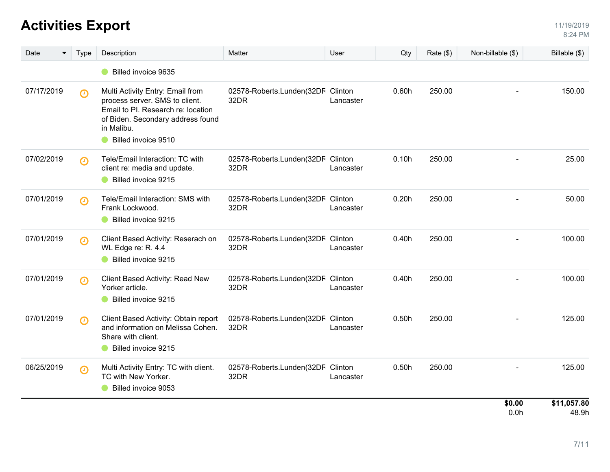| Date<br>▼  | Type                  | Description                                                                                                                                                                        | Matter                                    | User      | Qty   | Rate (\$) | Non-billable (\$) | Billable (\$)        |
|------------|-----------------------|------------------------------------------------------------------------------------------------------------------------------------------------------------------------------------|-------------------------------------------|-----------|-------|-----------|-------------------|----------------------|
|            |                       | Billed invoice 9635                                                                                                                                                                |                                           |           |       |           |                   |                      |
| 07/17/2019 | $\boldsymbol{\Theta}$ | Multi Activity Entry: Email from<br>process server. SMS to client.<br>Email to PI. Research re: location<br>of Biden. Secondary address found<br>in Malibu.<br>Billed invoice 9510 | 02578-Roberts.Lunden(32DF Clinton<br>32DR | Lancaster | 0.60h | 250.00    |                   | 150.00               |
| 07/02/2019 | $\boldsymbol{\Theta}$ | Tele/Email Interaction: TC with<br>client re: media and update.<br>Billed invoice 9215                                                                                             | 02578-Roberts.Lunden(32DF Clinton<br>32DR | Lancaster | 0.10h | 250.00    |                   | 25.00                |
| 07/01/2019 | $\boldsymbol{\Theta}$ | Tele/Email Interaction: SMS with<br>Frank Lockwood.<br>Billed invoice 9215                                                                                                         | 02578-Roberts.Lunden(32DF Clinton<br>32DR | Lancaster | 0.20h | 250.00    |                   | 50.00                |
| 07/01/2019 | $\Theta$              | Client Based Activity: Reserach on<br>WL Edge re: R. 4.4<br>Billed invoice 9215                                                                                                    | 02578-Roberts.Lunden(32DF Clinton<br>32DR | Lancaster | 0.40h | 250.00    |                   | 100.00               |
| 07/01/2019 | $\boldsymbol{\Theta}$ | Client Based Activity: Read New<br>Yorker article.<br>Billed invoice 9215                                                                                                          | 02578-Roberts.Lunden(32DF Clinton<br>32DR | Lancaster | 0.40h | 250.00    |                   | 100.00               |
| 07/01/2019 | $\boldsymbol{\Theta}$ | Client Based Activity: Obtain report<br>and information on Melissa Cohen.<br>Share with client.<br>Billed invoice 9215                                                             | 02578-Roberts.Lunden(32DF Clinton<br>32DR | Lancaster | 0.50h | 250.00    |                   | 125.00               |
| 06/25/2019 | $\odot$               | Multi Activity Entry: TC with client.<br>TC with New Yorker.<br>Billed invoice 9053                                                                                                | 02578-Roberts.Lunden(32DF Clinton<br>32DR | Lancaster | 0.50h | 250.00    |                   | 125.00               |
|            |                       |                                                                                                                                                                                    |                                           |           |       |           | \$0.00<br>0.0h    | \$11,057.80<br>48.9h |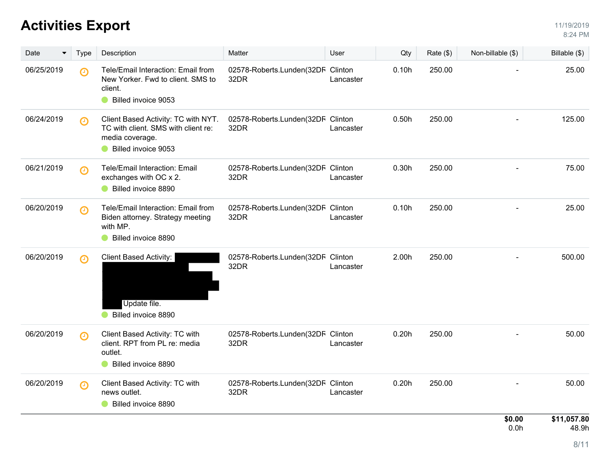| Date       | <b>Type</b>           | Description                                                                                                          | Matter                                    | User      | Qty   | Rate (\$) | Non-billable (\$) | Billable (\$)        |
|------------|-----------------------|----------------------------------------------------------------------------------------------------------------------|-------------------------------------------|-----------|-------|-----------|-------------------|----------------------|
| 06/25/2019 | $\boldsymbol{\Theta}$ | Tele/Email Interaction: Email from<br>New Yorker. Fwd to client. SMS to<br>client.<br>Billed invoice 9053            | 02578-Roberts.Lunden(32DF Clinton<br>32DR | Lancaster | 0.10h | 250.00    |                   | 25.00                |
| 06/24/2019 | $\boldsymbol{\Theta}$ | Client Based Activity: TC with NYT.<br>TC with client. SMS with client re:<br>media coverage.<br>Billed invoice 9053 | 02578-Roberts.Lunden(32DF Clinton<br>32DR | Lancaster | 0.50h | 250.00    |                   | 125.00               |
| 06/21/2019 | $\boldsymbol{\Theta}$ | Tele/Email Interaction: Email<br>exchanges with OC x 2.<br>Billed invoice 8890                                       | 02578-Roberts.Lunden(32DF Clinton<br>32DR | Lancaster | 0.30h | 250.00    |                   | 75.00                |
| 06/20/2019 | $\boldsymbol{\Theta}$ | Tele/Email Interaction: Email from<br>Biden attorney. Strategy meeting<br>with MP.<br>Billed invoice 8890            | 02578-Roberts.Lunden(32DF Clinton<br>32DR | Lancaster | 0.10h | 250.00    |                   | 25.00                |
| 06/20/2019 | $\odot$               | Client Based Activity:<br>Update file.<br>Billed invoice 8890                                                        | 02578-Roberts.Lunden(32DF Clinton<br>32DR | Lancaster | 2.00h | 250.00    |                   | 500.00               |
| 06/20/2019 | $\boldsymbol{\Theta}$ | Client Based Activity: TC with<br>client. RPT from PL re: media<br>outlet.<br>Billed invoice 8890                    | 02578-Roberts.Lunden(32DF Clinton<br>32DR | Lancaster | 0.20h | 250.00    |                   | 50.00                |
| 06/20/2019 | $\boldsymbol{\Theta}$ | Client Based Activity: TC with<br>news outlet.<br>Billed invoice 8890                                                | 02578-Roberts.Lunden(32DF Clinton<br>32DR | Lancaster | 0.20h | 250.00    |                   | 50.00                |
|            |                       |                                                                                                                      |                                           |           |       |           | \$0.00<br>0.0h    | \$11,057.80<br>48.9h |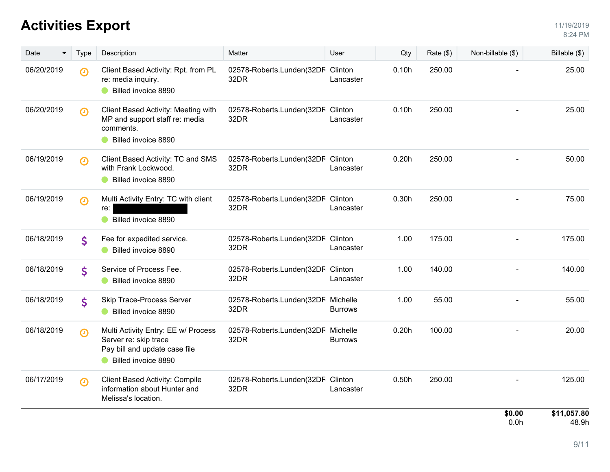| <b>Activities Export</b> | 1/19/2019 |
|--------------------------|-----------|
|                          | 8:24 PM   |

| Date       | Type                  | Description                                                                                                          | Matter                                     | User           | Qty   | Rate $(\$)$ | Non-billable (\$) | Billable (\$)        |
|------------|-----------------------|----------------------------------------------------------------------------------------------------------------------|--------------------------------------------|----------------|-------|-------------|-------------------|----------------------|
| 06/20/2019 | $\Theta$              | Client Based Activity: Rpt. from PL<br>re: media inquiry.<br>Billed invoice 8890                                     | 02578-Roberts.Lunden(32DF Clinton<br>32DR  | Lancaster      | 0.10h | 250.00      |                   | 25.00                |
| 06/20/2019 | $\boldsymbol{\Theta}$ | Client Based Activity: Meeting with<br>MP and support staff re: media<br>comments.<br>Billed invoice 8890            | 02578-Roberts.Lunden(32DF Clinton<br>32DR  | Lancaster      | 0.10h | 250.00      |                   | 25.00                |
| 06/19/2019 | $\Theta$              | Client Based Activity: TC and SMS<br>with Frank Lockwood.<br>Billed invoice 8890                                     | 02578-Roberts.Lunden(32DF Clinton<br>32DR  | Lancaster      | 0.20h | 250.00      |                   | 50.00                |
| 06/19/2019 | $\Theta$              | Multi Activity Entry: TC with client<br>re:<br>Billed invoice 8890                                                   | 02578-Roberts.Lunden(32DF Clinton<br>32DR  | Lancaster      | 0.30h | 250.00      |                   | 75.00                |
| 06/18/2019 | \$                    | Fee for expedited service.<br>Billed invoice 8890                                                                    | 02578-Roberts.Lunden(32DF Clinton<br>32DR  | Lancaster      | 1.00  | 175.00      |                   | 175.00               |
| 06/18/2019 | \$                    | Service of Process Fee.<br>Billed invoice 8890                                                                       | 02578-Roberts.Lunden(32DF Clinton<br>32DR  | Lancaster      | 1.00  | 140.00      |                   | 140.00               |
| 06/18/2019 | \$                    | Skip Trace-Process Server<br>Billed invoice 8890                                                                     | 02578-Roberts.Lunden(32DF Michelle<br>32DR | <b>Burrows</b> | 1.00  | 55.00       |                   | 55.00                |
| 06/18/2019 | $\boldsymbol{\Theta}$ | Multi Activity Entry: EE w/ Process<br>Server re: skip trace<br>Pay bill and update case file<br>Billed invoice 8890 | 02578-Roberts.Lunden(32DF Michelle<br>32DR | <b>Burrows</b> | 0.20h | 100.00      |                   | 20.00                |
| 06/17/2019 | $\boldsymbol{\Theta}$ | <b>Client Based Activity: Compile</b><br>information about Hunter and<br>Melissa's location.                         | 02578-Roberts.Lunden(32DF Clinton<br>32DR  | Lancaster      | 0.50h | 250.00      |                   | 125.00               |
|            |                       |                                                                                                                      |                                            |                |       |             | \$0.00<br>0.0h    | \$11,057.80<br>48.9h |

48.9h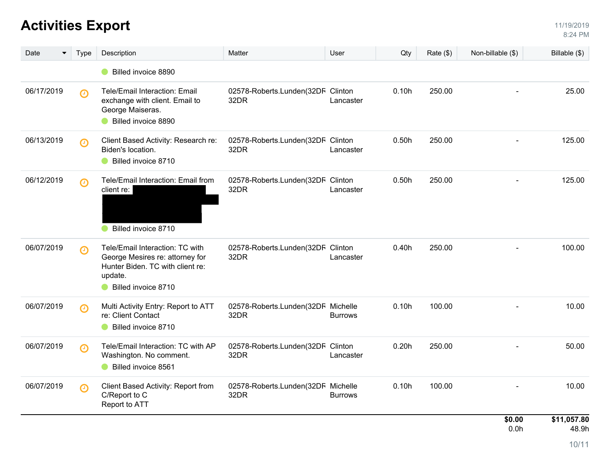| Date<br>$\blacktriangledown$ | Type                  | Description                                                                                                                              | Matter                                     | User           | Qty   | Rate (\$) | Non-billable (\$) | Billable $(\$)$      |
|------------------------------|-----------------------|------------------------------------------------------------------------------------------------------------------------------------------|--------------------------------------------|----------------|-------|-----------|-------------------|----------------------|
|                              |                       | Billed invoice 8890                                                                                                                      |                                            |                |       |           |                   |                      |
| 06/17/2019                   | $\boldsymbol{\Theta}$ | Tele/Email Interaction: Email<br>exchange with client. Email to<br>George Maiseras.<br>Billed invoice 8890                               | 02578-Roberts.Lunden(32DF Clinton<br>32DR  | Lancaster      | 0.10h | 250.00    |                   | 25.00                |
| 06/13/2019                   | $\boldsymbol{\Theta}$ | Client Based Activity: Research re:<br>Biden's location.<br>Billed invoice 8710                                                          | 02578-Roberts.Lunden(32DF Clinton<br>32DR  | Lancaster      | 0.50h | 250.00    |                   | 125.00               |
| 06/12/2019                   | $\boldsymbol{\Theta}$ | Tele/Email Interaction: Email from<br>client re:<br>Billed invoice 8710                                                                  | 02578-Roberts.Lunden(32DF Clinton<br>32DR  | Lancaster      | 0.50h | 250.00    |                   | 125.00               |
| 06/07/2019                   | $\boldsymbol{\Theta}$ | Tele/Email Interaction: TC with<br>George Mesires re: attorney for<br>Hunter Biden. TC with client re:<br>update.<br>Billed invoice 8710 | 02578-Roberts.Lunden(32DF Clinton<br>32DR  | Lancaster      | 0.40h | 250.00    |                   | 100.00               |
| 06/07/2019                   | $\boldsymbol{\Theta}$ | Multi Activity Entry: Report to ATT<br>re: Client Contact<br>Billed invoice 8710                                                         | 02578-Roberts.Lunden(32DF Michelle<br>32DR | <b>Burrows</b> | 0.10h | 100.00    |                   | 10.00                |
| 06/07/2019                   | $\boldsymbol{\Theta}$ | Tele/Email Interaction: TC with AP<br>Washington. No comment.<br>Billed invoice 8561                                                     | 02578-Roberts.Lunden(32DF Clinton<br>32DR  | Lancaster      | 0.20h | 250.00    |                   | 50.00                |
| 06/07/2019                   | $\boldsymbol{\Theta}$ | Client Based Activity: Report from<br>C/Report to C<br>Report to ATT                                                                     | 02578-Roberts.Lunden(32DF Michelle<br>32DR | <b>Burrows</b> | 0.10h | 100.00    |                   | 10.00                |
|                              |                       |                                                                                                                                          |                                            |                |       |           | \$0.00<br>0.0h    | \$11,057.80<br>48.9h |